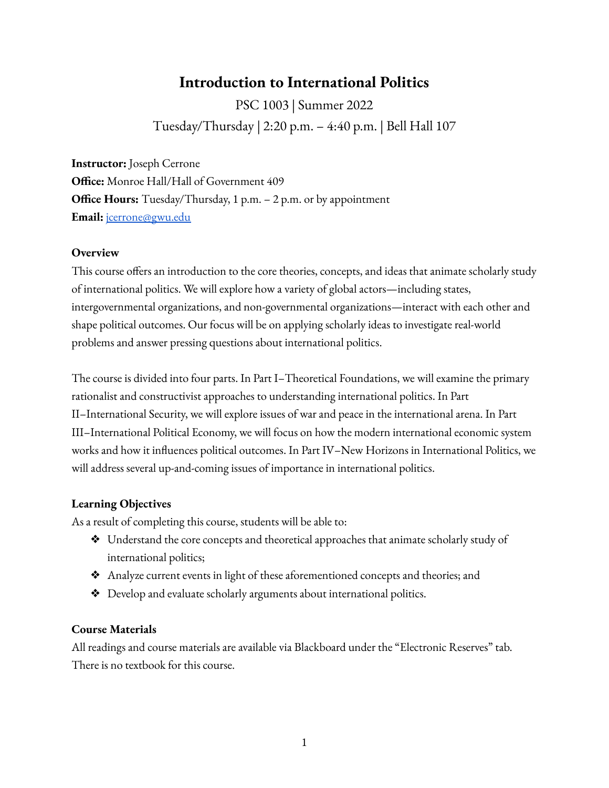# **Introduction to International Politics**

PSC 1003 | Summer 2022 Tuesday/Thursday | 2:20 p.m. – 4:40 p.m. | Bell Hall 107

**Instructor:** Joseph Cerrone **Office:** Monroe Hall/Hall of Government 409 **Office Hours:** Tuesday/Thursday, 1 p.m. – 2 p.m. or by appointment **Email:** [jcerrone@gwu.edu](mailto:jcerrone@gwu.edu)

### **Overview**

This course offers an introduction to the core theories, concepts, and ideas that animate scholarly study of international politics. We will explore how a variety of global actors—including states, intergovernmental organizations, and non-governmental organizations—interact with each other and shape political outcomes. Our focus will be on applying scholarly ideas to investigate real-world problems and answer pressing questions about international politics.

The course is divided into four parts. In Part I–Theoretical Foundations, we will examine the primary rationalist and constructivist approaches to understanding international politics. In Part II–International Security, we will explore issues of war and peace in the international arena. In Part III–International Political Economy, we will focus on how the modern international economic system works and how it influences political outcomes. In Part IV–New Horizons in International Politics, we will address several up-and-coming issues of importance in international politics.

### **Learning Objectives**

As a result of completing this course, students will be able to:

- ❖ Understand the core concepts and theoretical approaches that animate scholarly study of international politics;
- ❖ Analyze current events in light of these aforementioned concepts and theories; and
- ❖ Develop and evaluate scholarly arguments about international politics.

### **Course Materials**

All readings and course materials are available via Blackboard under the "Electronic Reserves" tab. There is no textbook for this course.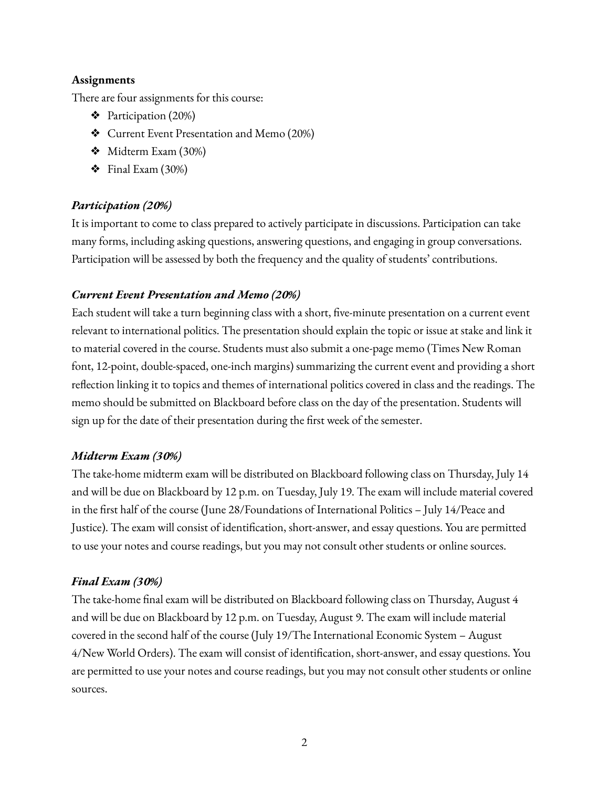### **Assignments**

There are four assignments for this course:

- ❖ Participation (20%)
- ❖ Current Event Presentation and Memo (20%)
- ❖ Midterm Exam (30%)
- $\div$  Final Exam (30%)

# *Participation (20%)*

It is important to come to class prepared to actively participate in discussions. Participation can take many forms, including asking questions, answering questions, and engaging in group conversations. Participation will be assessed by both the frequency and the quality of students' contributions.

### *Current Event Presentation and Memo (20%)*

Each student will take a turn beginning class with a short, five-minute presentation on a current event relevant to international politics. The presentation should explain the topic or issue at stake and link it to material covered in the course. Students must also submit a one-page memo (Times New Roman font, 12-point, double-spaced, one-inch margins) summarizing the current event and providing a short reflection linking it to topics and themes of international politics covered in class and the readings. The memo should be submitted on Blackboard before class on the day of the presentation. Students will sign up for the date of their presentation during the first week of the semester.

### *Midterm Exam (30%)*

The take-home midterm exam will be distributed on Blackboard following class on Thursday, July 14 and will be due on Blackboard by 12 p.m. on Tuesday, July 19. The exam will include material covered in the first half of the course (June 28/Foundations of International Politics – July 14/Peace and Justice). The exam will consist of identification, short-answer, and essay questions. You are permitted to use your notes and course readings, but you may not consult other students or online sources.

# *Final Exam (30%)*

The take-home final exam will be distributed on Blackboard following class on Thursday, August 4 and will be due on Blackboard by 12 p.m. on Tuesday, August 9. The exam will include material covered in the second half of the course (July 19/The International Economic System – August 4/New World Orders). The exam will consist of identification, short-answer, and essay questions. You are permitted to use your notes and course readings, but you may not consult other students or online sources.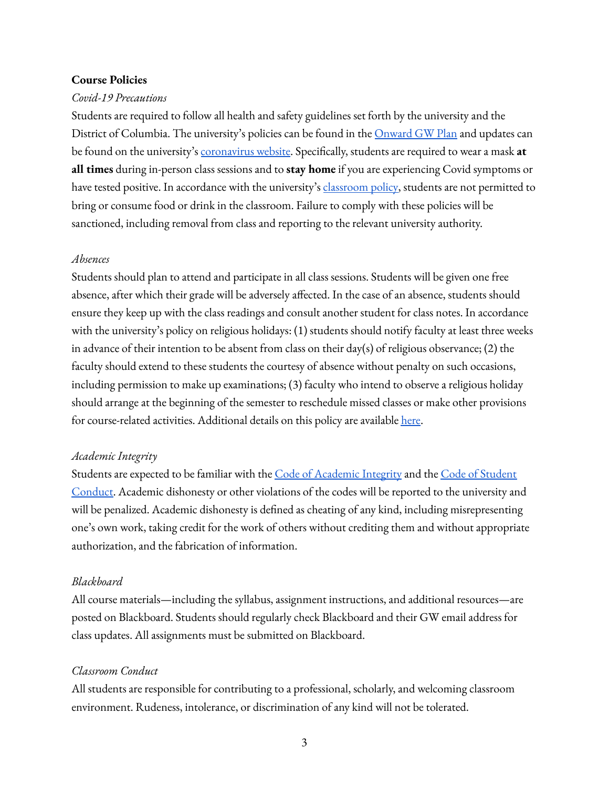#### **Course Policies**

#### *Covid-19 Precautions*

Students are required to follow all health and safety guidelines set forth by the university and the District of Columbia. The university's policies can be found in the <u>[Onward](https://onward.gwu.edu/) GW Plan</u> and updates can be found on the university's [coronavirus](https://coronavirus.gwu.edu/) website. Specifically, students are required to wear a mask **at all times** during in-person class sessions and to **stay home** if you are experiencing Covid symptoms or have tested positive. In accordance with the university's [classroom](https://registrar.gwu.edu/reservation-rental-policies) policy, students are not permitted to bring or consume food or drink in the classroom. Failure to comply with these policies will be sanctioned, including removal from class and reporting to the relevant university authority.

#### *Absences*

Students should plan to attend and participate in all class sessions. Students will be given one free absence, after which their grade will be adversely affected. In the case of an absence, students should ensure they keep up with the class readings and consult another student for class notes. In accordance with the university's policy on religious holidays: (1) students should notify faculty at least three weeks in advance of their intention to be absent from class on their day(s) of religious observance; (2) the faculty should extend to these students the courtesy of absence without penalty on such occasions, including permission to make up examinations; (3) faculty who intend to observe a religious holiday should arrange at the beginning of the semester to reschedule missed classes or make other provisions for course-related activities. Additional details on this policy are available [here.](https://provost.gwu.edu/sites/g/files/zaxdzs626/f/downloads/Religious%20Holidays%20combined%202020-2021%20UPDATED.pdf)

#### *Academic Integrity*

Students are expected to be familiar with the Code of [Academic](https://studentconduct.gwu.edu/sites/g/files/zaxdzs3451/f/downloads/160912%20Code%20of%20Academic%20Integrity.pdf) Integrity and the Code of [Student](https://studentconduct.gwu.edu/sites/g/files/zaxdzs3451/f/downloads/Code%20of%20Student%20Conduct%2008172020.pdf) [Conduct.](https://studentconduct.gwu.edu/sites/g/files/zaxdzs3451/f/downloads/Code%20of%20Student%20Conduct%2008172020.pdf) Academic dishonesty or other violations of the codes will be reported to the university and will be penalized. Academic dishonesty is defined as cheating of any kind, including misrepresenting one's own work, taking credit for the work of others without crediting them and without appropriate authorization, and the fabrication of information.

#### *Blackboard*

All course materials—including the syllabus, assignment instructions, and additional resources—are posted on Blackboard. Students should regularly check Blackboard and their GW email address for class updates. All assignments must be submitted on Blackboard.

#### *Classroom Conduct*

All students are responsible for contributing to a professional, scholarly, and welcoming classroom environment. Rudeness, intolerance, or discrimination of any kind will not be tolerated.

3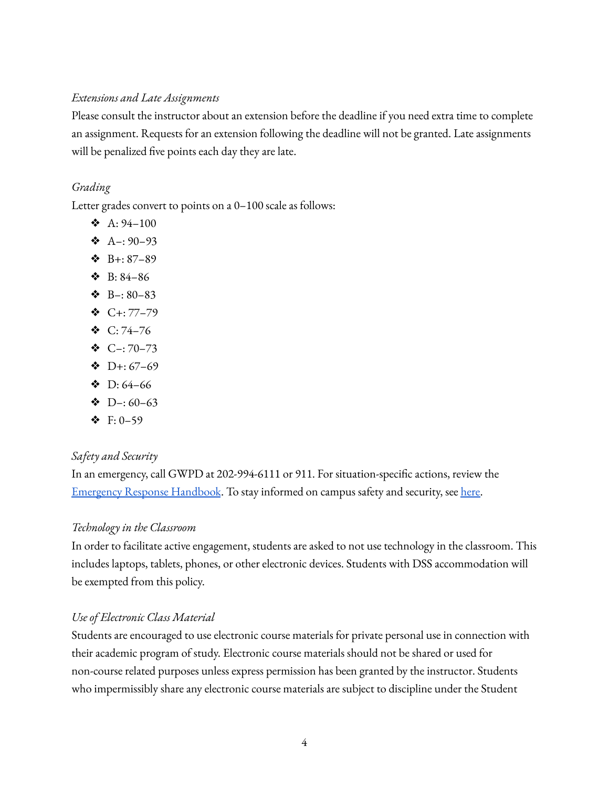### *Extensions and Late Assignments*

Please consult the instructor about an extension before the deadline if you need extra time to complete an assignment. Requests for an extension following the deadline will not be granted. Late assignments will be penalized five points each day they are late.

### *Grading*

Letter grades convert to points on a 0–100 scale as follows:

- $\triangle$  A: 94-100
- $\bullet$  A-: 90-93
- ❖ B+: 87–89
- ❖ B: 84–86
- $\bullet$  B-: 80-83
- ❖ C+: 77–79
- ❖ C: 74–76
- $\bullet$  C-: 70-73
- $\bullet$  D+: 67-69
- $\bullet$  D: 64–66
- $\bullet$  D–: 60–63
- ❖ F: 0–59

### *Safety and Security*

In an emergency, call GWPD at 202-994-6111 or 911. For situation-specific actions, review the [Emergency](https://safety.gwu.edu/emergency-response-handbook) Response Handbook. To stay informed on campus safety and security, see [here.](https://safety.gwu.edu/stay-informed)

### *Technology in the Classroom*

In order to facilitate active engagement, students are asked to not use technology in the classroom. This includes laptops, tablets, phones, or other electronic devices. Students with DSS accommodation will be exempted from this policy.

### *Use of Electronic Class Material*

Students are encouraged to use electronic course materials for private personal use in connection with their academic program of study. Electronic course materials should not be shared or used for non-course related purposes unless express permission has been granted by the instructor. Students who impermissibly share any electronic course materials are subject to discipline under the Student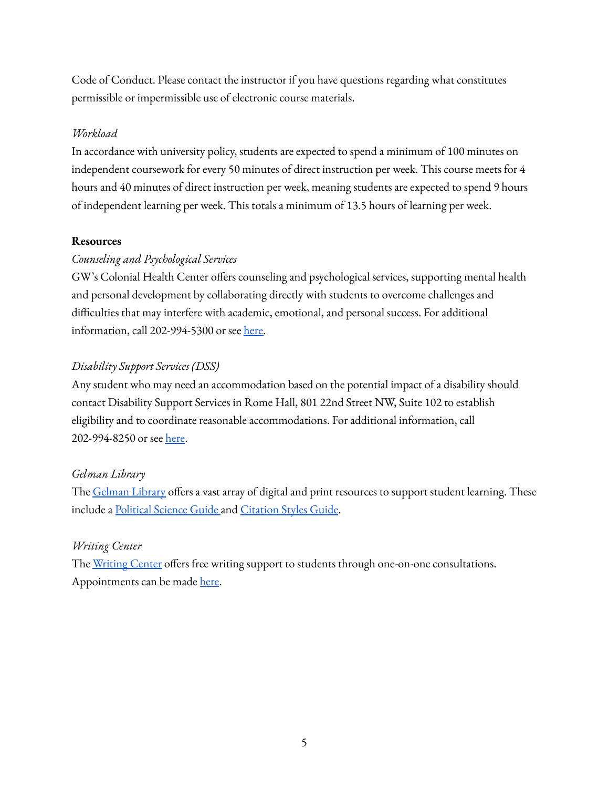Code of Conduct. Please contact the instructor if you have questions regarding what constitutes permissible or impermissible use of electronic course materials.

### *Workload*

In accordance with university policy, students are expected to spend a minimum of 100 minutes on independent coursework for every 50 minutes of direct instruction per week. This course meets for 4 hours and 40 minutes of direct instruction per week, meaning students are expected to spend 9 hours of independent learning per week. This totals a minimum of 13.5 hours of learning per week.

### **Resources**

### *Counseling and Psychological Services*

GW's Colonial Health Center offers counseling and psychological services, supporting mental health and personal development by collaborating directly with students to overcome challenges and difficulties that may interfere with academic, emotional, and personal success. For additional information, call 202-994-5300 or see [here.](https://healthcenter.gwu.edu/counseling-and-psychological-services)

### *Disability Support Services (DSS)*

Any student who may need an accommodation based on the potential impact of a disability should contact Disability Support Services in Rome Hall, 801 22nd Street NW, Suite 102 to establish eligibility and to coordinate reasonable accommodations. For additional information, call 202-994-8250 or see [here.](https://disabilitysupport.gwu.edu/)

### *Gelman Library*

The [Gelman](https://library.gwu.edu/) Library offers a vast array of digital and print resources to support student learning. These include a [Political](https://libguides.gwu.edu/polsci) Science Guide and [Citation](https://libguides.gwu.edu/styleguide) Styles Guide.

### *Writing Center*

The [Writing](https://writingcenter.gwu.edu/) Center offers free writing support to students through one-on-one consultations. Appointments can be made [here](https://writingcenter.gwu.edu/appointments).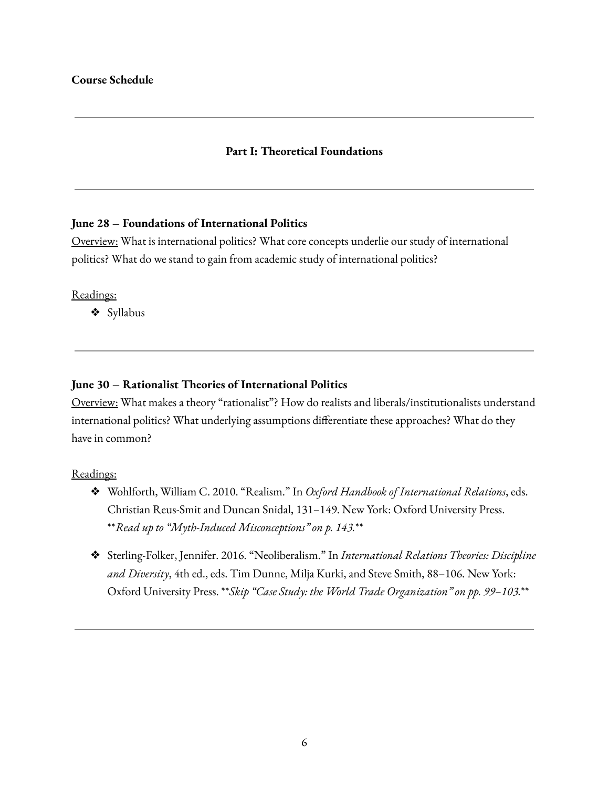### **Course Schedule**

### **Part I: Theoretical Foundations**

#### **June 28 – Foundations of International Politics**

Overview: What is international politics? What core concepts underlie our study of international politics? What do we stand to gain from academic study of international politics?

#### Readings:

❖ Syllabus

#### **June 30 – Rationalist Theories of International Politics**

Overview: What makes a theory "rationalist"? How do realists and liberals/institutionalists understand international politics? What underlying assumptions differentiate these approaches? What do they have in common?

- ❖ Wohlforth, William C. 2010. "Realism." In *Oxford Handbook of International Relations*, eds. Christian Reus-Smit and Duncan Snidal, 131–149. New York: Oxford University Press. \*\**Read up to "Myth-Induced Misconceptions" on p. 143.*\*\*
- ❖ Sterling-Folker, Jennifer. 2016. "Neoliberalism." In *International Relations Theories: Discipline and Diversity*, 4th ed., eds. Tim Dunne, Milja Kurki, and Steve Smith, 88–106. New York: Oxford University Press. \*\**Skip "Case Study: the World Trade Organization" on pp. 99–103.*\*\*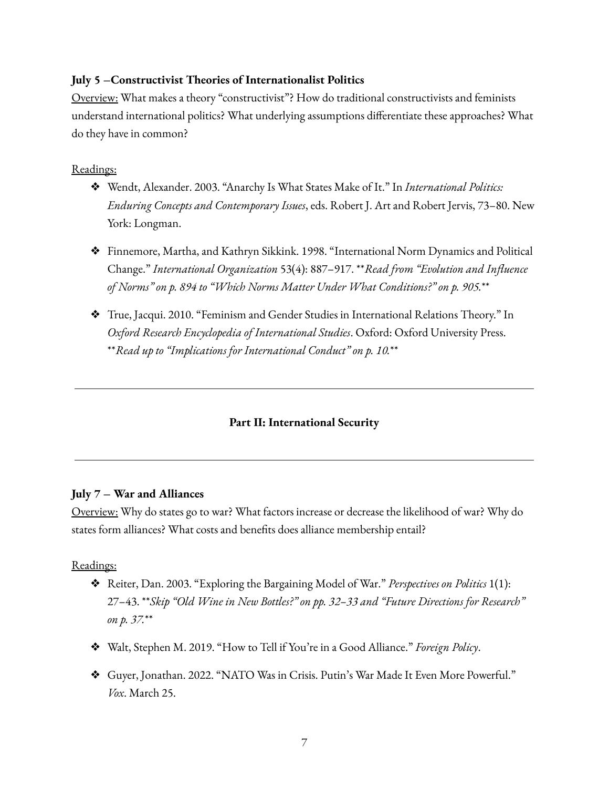### **July 5 –Constructivist Theories of Internationalist Politics**

Overview: What makes a theory "constructivist"? How do traditional constructivists and feminists understand international politics? What underlying assumptions differentiate these approaches? What do they have in common?

### Readings:

- ❖ Wendt, Alexander. 2003. "Anarchy Is What States Make of It." In *International Politics: Enduring Concepts and Contemporary Issues*, eds. Robert J. Art and Robert Jervis, 73–80. New York: Longman.
- ❖ Finnemore, Martha, and Kathryn Sikkink. 1998. "International Norm Dynamics and Political Change." *International Organization* 53(4): 887–917. \*\**Read from "Evolution and Influence of Norms" on p. 894 to "Which Norms Matter Under What Conditions?" on p. 905.*\*\*
- ❖ True, Jacqui. 2010. "Feminism and Gender Studies in International Relations Theory." In *Oxford Research Encyclopedia of International Studies*. Oxford: Oxford University Press. \*\**Read up to "Implications for International Conduct" on p. 10.*\*\*

### **Part II: International Security**

### **July 7 – War and Alliances**

Overview: Why do states go to war? What factors increase or decrease the likelihood of war? Why do states form alliances? What costs and benefits does alliance membership entail?

- ❖ Reiter, Dan. 2003. "Exploring the Bargaining Model of War." *Perspectives on Politics* 1(1): 27–43. \*\**Skip "Old Wine in New Bottles?" on pp. 32–33 and "Future Directions for Research" on p. 37.*\*\*
- ❖ Walt, Stephen M. 2019. "How to Tell if You're in a Good Alliance." *Foreign Policy*.
- ❖ Guyer, Jonathan. 2022. "NATO Was in Crisis. Putin's War Made It Even More Powerful." *Vox*. March 25.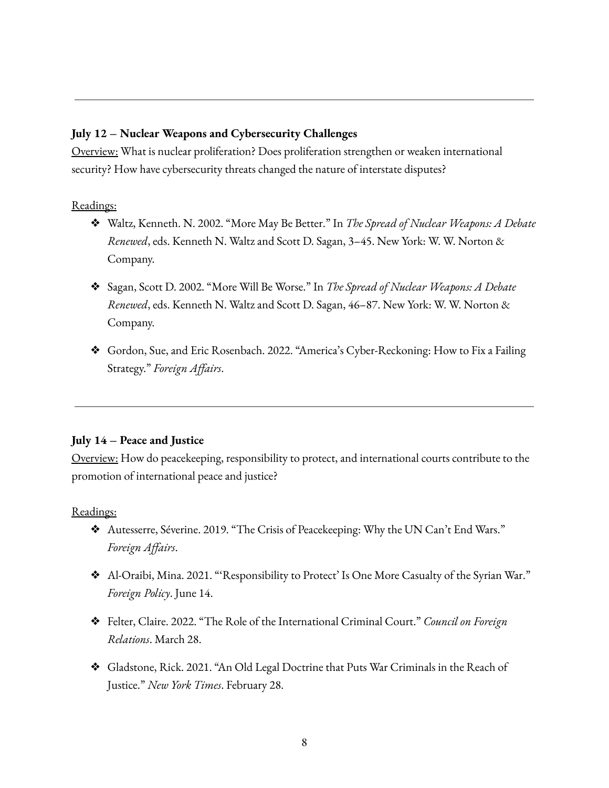### **July 12 – Nuclear Weapons and Cybersecurity Challenges**

Overview: What is nuclear proliferation? Does proliferation strengthen or weaken international security? How have cybersecurity threats changed the nature of interstate disputes?

Readings:

- ❖ Waltz, Kenneth. N. 2002. "More May Be Better." In *The Spread of Nuclear Weapons: A Debate Renewed*, eds. Kenneth N. Waltz and Scott D. Sagan, 3–45. New York: W. W. Norton & Company.
- ❖ Sagan, Scott D. 2002. "More Will Be Worse." In *The Spread of Nuclear Weapons: A Debate Renewed*, eds. Kenneth N. Waltz and Scott D. Sagan, 46–87. New York: W. W. Norton & Company.
- ❖ Gordon, Sue, and Eric Rosenbach. 2022. "America's Cyber-Reckoning: How to Fix a Failing Strategy." *Foreign Affairs*.

### **July 14 – Peace and Justice**

Overview: How do peacekeeping, responsibility to protect, and international courts contribute to the promotion of international peace and justice?

- ❖ Autesserre, Séverine. 2019. "The Crisis of Peacekeeping: Why the UN Can't End Wars." *Foreign Affairs*.
- ❖ Al-Oraibi, Mina. 2021. "'Responsibility to Protect' Is One More Casualty of the Syrian War." *Foreign Policy*. June 14.
- ❖ Felter, Claire. 2022. "The Role of the International Criminal Court." *Council on Foreign Relations*. March 28.
- ❖ Gladstone, Rick. 2021. "An Old Legal Doctrine that Puts War Criminals in the Reach of Justice." *New York Times*. February 28.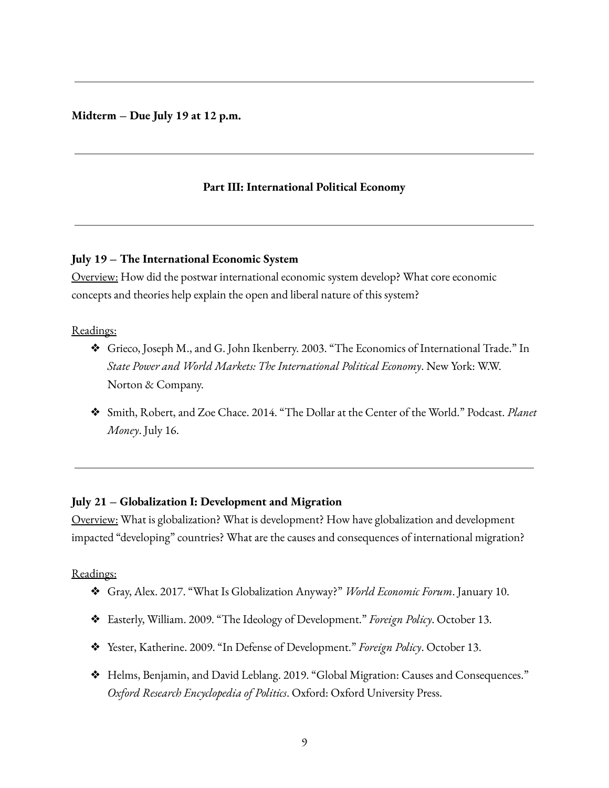#### **Midterm – Due July 19 at 12 p.m.**

### **Part III: International Political Economy**

#### **July 19 – The International Economic System**

Overview: How did the postwar international economic system develop? What core economic concepts and theories help explain the open and liberal nature of this system?

#### Readings:

- ❖ Grieco, Joseph M., and G. John Ikenberry. 2003. "The Economics of International Trade." In *State Power and World Markets: The International Political Economy*. New York: W.W. Norton & Company.
- ❖ Smith, Robert, and Zoe Chace. 2014. "The Dollar at the Center of the World." Podcast. *Planet Money*. July 16.

#### **July 21 – Globalization I: Development and Migration**

Overview: What is globalization? What is development? How have globalization and development impacted "developing" countries? What are the causes and consequences of international migration?

- ❖ Gray, Alex. 2017. "What Is Globalization Anyway?" *World Economic Forum*. January 10.
- ❖ Easterly, William. 2009. "The Ideology of Development." *Foreign Policy*. October 13.
- ❖ Yester, Katherine. 2009. "In Defense of Development." *Foreign Policy*. October 13.
- ❖ Helms, Benjamin, and David Leblang. 2019. "Global Migration: Causes and Consequences." *Oxford Research Encyclopedia of Politics*. Oxford: Oxford University Press.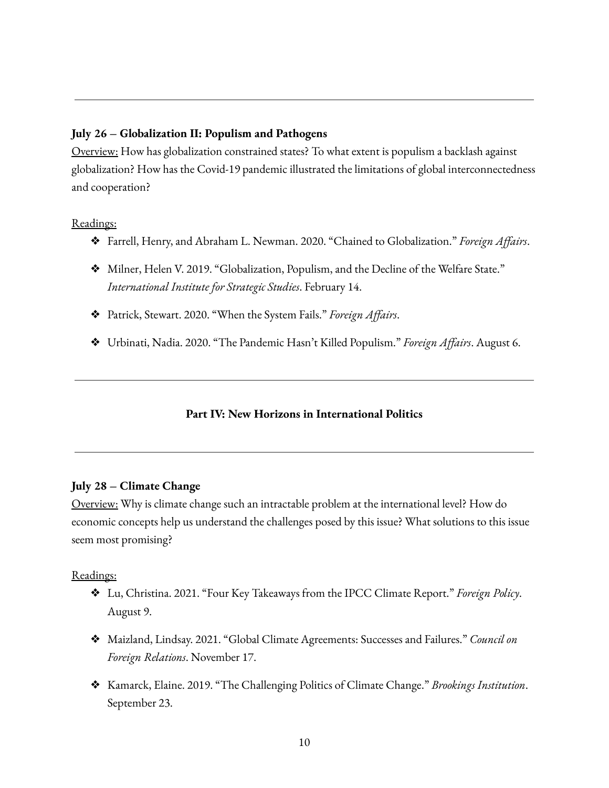### **July 26 – Globalization II: Populism and Pathogens**

Overview: How has globalization constrained states? To what extent is populism a backlash against globalization? How has the Covid-19 pandemic illustrated the limitations of global interconnectedness and cooperation?

### Readings:

- ❖ Farrell, Henry, and Abraham L. Newman. 2020. "Chained to Globalization." *Foreign Affairs*.
- ❖ Milner, Helen V. 2019. "Globalization, Populism, and the Decline of the Welfare State." *International Institute for Strategic Studies*. February 14.
- ❖ Patrick, Stewart. 2020. "When the System Fails." *Foreign Affairs*.
- ❖ Urbinati, Nadia. 2020. "The Pandemic Hasn't Killed Populism." *Foreign Affairs*. August 6.

### **Part IV: New Horizons in International Politics**

### **July 28 – Climate Change**

Overview: Why is climate change such an intractable problem at the international level? How do economic concepts help us understand the challenges posed by this issue? What solutions to this issue seem most promising?

- ❖ Lu, Christina. 2021. "Four Key Takeaways from the IPCC Climate Report." *Foreign Policy*. August 9.
- ❖ Maizland, Lindsay. 2021. "Global Climate Agreements: Successes and Failures." *Council on Foreign Relations*. November 17.
- ❖ Kamarck, Elaine. 2019. "The Challenging Politics of Climate Change." *Brookings Institution*. September 23.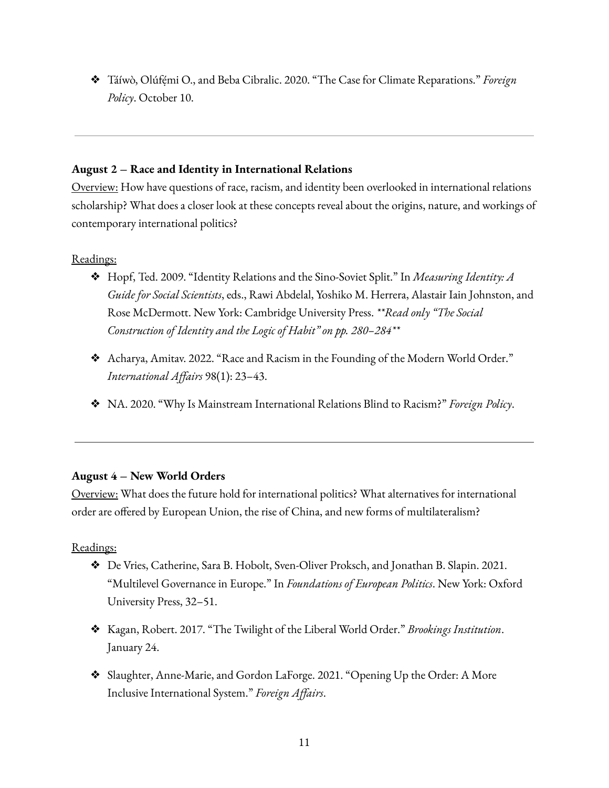❖ Táíwò, Olúfẹ́mi O., and Beba Cibralic. 2020. "The Case for Climate Reparations." *Foreign Policy*. October 10.

## **August 2 – Race and Identity in International Relations**

Overview: How have questions of race, racism, and identity been overlooked in international relations scholarship? What does a closer look at these concepts reveal about the origins, nature, and workings of contemporary international politics?

# Readings:

- ❖ Hopf, Ted. 2009. "Identity Relations and the Sino-Soviet Split." In *Measuring Identity: A Guide for Social Scientists*, eds., Rawi Abdelal, Yoshiko M. Herrera, Alastair Iain Johnston, and Rose McDermott. New York: Cambridge University Press. *\*\*Read only "The Social Construction of Identity and the Logic of Habit" on pp. 280–284\*\**
- ❖ Acharya, Amitav. 2022. "Race and Racism in the Founding of the Modern World Order." *International Affairs* 98(1): 23–43.
- ❖ NA. 2020. "Why Is Mainstream International Relations Blind to Racism?" *Foreign Policy*.

# **August 4 – New World Orders**

Overview: What does the future hold for international politics? What alternatives for international order are offered by European Union, the rise of China, and new forms of multilateralism?

- ❖ De Vries, Catherine, Sara B. Hobolt, Sven-Oliver Proksch, and Jonathan B. Slapin. 2021. "Multilevel Governance in Europe." In *Foundations of European Politics*. New York: Oxford University Press, 32–51.
- ❖ Kagan, Robert. 2017. "The Twilight of the Liberal World Order." *Brookings Institution*. January 24.
- ❖ Slaughter, Anne-Marie, and Gordon LaForge. 2021. "Opening Up the Order: A More Inclusive International System." *Foreign Affairs*.